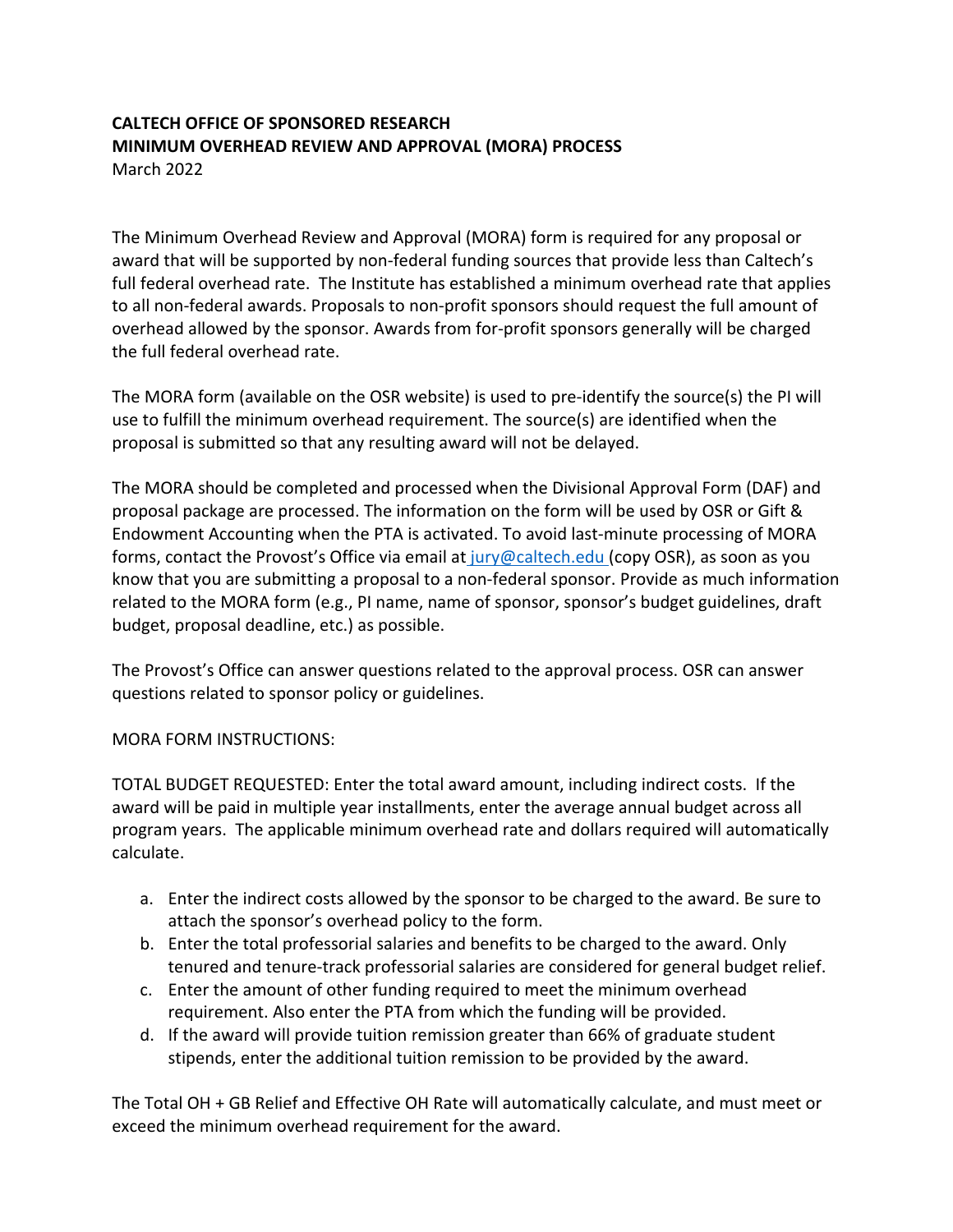## **CALTECH OFFICE OF SPONSORED RESEARCH MINIMUM OVERHEAD REVIEW AND APPROVAL (MORA) PROCESS** March 2022

The Minimum Overhead Review and Approval (MORA) form is required for any proposal or award that will be supported by non-federal funding sources that provide less than Caltech's full federal overhead rate. The Institute has established a minimum overhead rate that applies to all non‐federal awards. Proposals to non‐profit sponsors should request the full amount of overhead allowed by the sponsor. Awards from for‐profit sponsors generally will be charged the full federal overhead rate.

The MORA form (available on the OSR website) is used to pre‐identify the source(s) the PI will use to fulfill the minimum overhead requirement. The source(s) are identified when the proposal is submitted so that any resulting award will not be delayed.

The MORA should be completed and processed when the Divisional Approval Form (DAF) and proposal package are processed. The information on the form will be used by OSR or Gift & Endowment Accounting when the PTA is activated. To avoid last‐minute processing of MORA forms, contact the Provost's Office via email at jury@caltech.edu (copy OSR), as soon as you know that you are submitting a proposal to a non-federal sponsor. Provide as much information related to the MORA form (e.g., PI name, name of sponsor, sponsor's budget guidelines, draft budget, proposal deadline, etc.) as possible.

The Provost's Office can answer questions related to the approval process. OSR can answer questions related to sponsor policy or guidelines.

## MORA FORM INSTRUCTIONS:

TOTAL BUDGET REQUESTED: Enter the total award amount, including indirect costs. If the award will be paid in multiple year installments, enter the average annual budget across all program years. The applicable minimum overhead rate and dollars required will automatically calculate.

- a. Enter the indirect costs allowed by the sponsor to be charged to the award. Be sure to attach the sponsor's overhead policy to the form.
- b. Enter the total professorial salaries and benefits to be charged to the award. Only tenured and tenure‐track professorial salaries are considered for general budget relief.
- c. Enter the amount of other funding required to meet the minimum overhead requirement. Also enter the PTA from which the funding will be provided.
- d. If the award will provide tuition remission greater than 66% of graduate student stipends, enter the additional tuition remission to be provided by the award.

The Total OH + GB Relief and Effective OH Rate will automatically calculate, and must meet or exceed the minimum overhead requirement for the award.